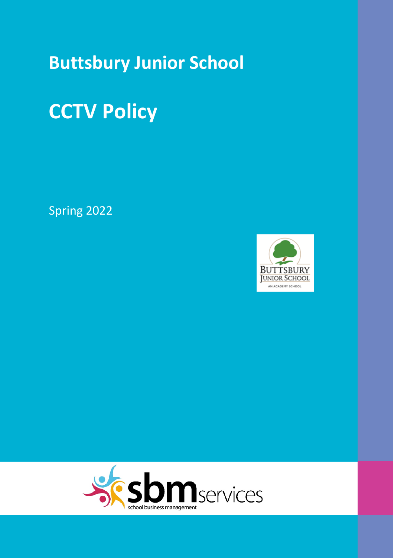## **Buttsbury Junior School**

# **CCTV Policy**

Spring 2022



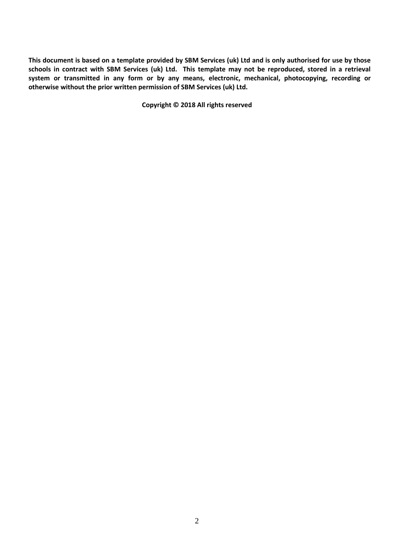**This document is based on a template provided by SBM Services (uk) Ltd and is only authorised for use by those schools in contract with SBM Services (uk) Ltd. This template may not be reproduced, stored in a retrieval system or transmitted in any form or by any means, electronic, mechanical, photocopying, recording or otherwise without the prior written permission of SBM Services (uk) Ltd.**

**Copyright © 2018 All rights reserved**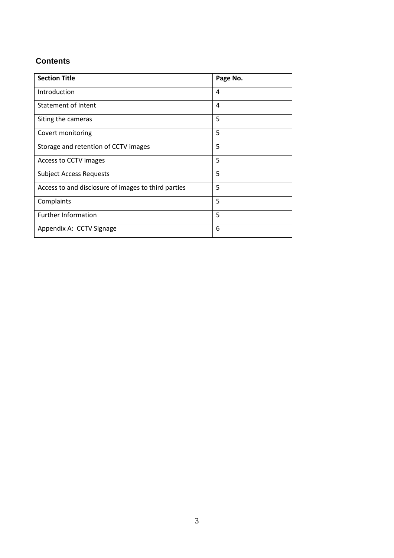#### **Contents**

| <b>Section Title</b>                                | Page No. |
|-----------------------------------------------------|----------|
| Introduction                                        | 4        |
| <b>Statement of Intent</b>                          | 4        |
| Siting the cameras                                  | 5        |
| Covert monitoring                                   | 5        |
| Storage and retention of CCTV images                | 5        |
| Access to CCTV images                               | 5        |
| <b>Subject Access Requests</b>                      | 5        |
| Access to and disclosure of images to third parties | 5        |
| Complaints                                          | 5        |
| <b>Further Information</b>                          | 5        |
| Appendix A: CCTV Signage                            | 6        |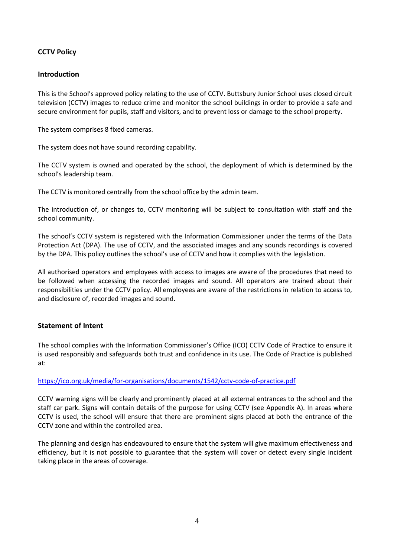#### **CCTV Policy**

#### **Introduction**

This is the School's approved policy relating to the use of CCTV. Buttsbury Junior School uses closed circuit television (CCTV) images to reduce crime and monitor the school buildings in order to provide a safe and secure environment for pupils, staff and visitors, and to prevent loss or damage to the school property.

The system comprises 8 fixed cameras.

The system does not have sound recording capability.

The CCTV system is owned and operated by the school, the deployment of which is determined by the school's leadership team.

The CCTV is monitored centrally from the school office by the admin team.

The introduction of, or changes to, CCTV monitoring will be subject to consultation with staff and the school community.

The school's CCTV system is registered with the Information Commissioner under the terms of the Data Protection Act (DPA). The use of CCTV, and the associated images and any sounds recordings is covered by the DPA. This policy outlines the school's use of CCTV and how it complies with the legislation.

All authorised operators and employees with access to images are aware of the procedures that need to be followed when accessing the recorded images and sound. All operators are trained about their responsibilities under the CCTV policy. All employees are aware of the restrictions in relation to access to, and disclosure of, recorded images and sound.

#### **Statement of Intent**

The school complies with the Information Commissioner's Office (ICO) CCTV Code of Practice to ensure it is used responsibly and safeguards both trust and confidence in its use. The Code of Practice is published at:

#### <https://ico.org.uk/media/for-organisations/documents/1542/cctv-code-of-practice.pdf>

CCTV warning signs will be clearly and prominently placed at all external entrances to the school and the staff car park. Signs will contain details of the purpose for using CCTV (see Appendix A). In areas where CCTV is used, the school will ensure that there are prominent signs placed at both the entrance of the CCTV zone and within the controlled area.

The planning and design has endeavoured to ensure that the system will give maximum effectiveness and efficiency, but it is not possible to guarantee that the system will cover or detect every single incident taking place in the areas of coverage.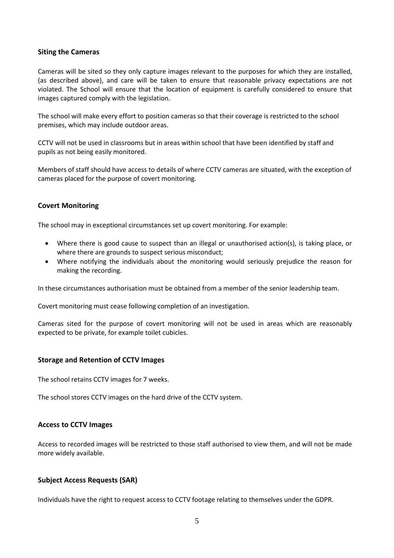#### **Siting the Cameras**

Cameras will be sited so they only capture images relevant to the purposes for which they are installed, (as described above), and care will be taken to ensure that reasonable privacy expectations are not violated. The School will ensure that the location of equipment is carefully considered to ensure that images captured comply with the legislation.

The school will make every effort to position cameras so that their coverage is restricted to the school premises, which may include outdoor areas.

CCTV will not be used in classrooms but in areas within school that have been identified by staff and pupils as not being easily monitored.

Members of staff should have access to details of where CCTV cameras are situated, with the exception of cameras placed for the purpose of covert monitoring.

#### **Covert Monitoring**

The school may in exceptional circumstances set up covert monitoring. For example:

- Where there is good cause to suspect than an illegal or unauthorised action(s), is taking place, or where there are grounds to suspect serious misconduct;
- Where notifying the individuals about the monitoring would seriously prejudice the reason for making the recording.

In these circumstances authorisation must be obtained from a member of the senior leadership team.

Covert monitoring must cease following completion of an investigation.

Cameras sited for the purpose of covert monitoring will not be used in areas which are reasonably expected to be private, for example toilet cubicles.

#### **Storage and Retention of CCTV Images**

The school retains CCTV images for 7 weeks.

The school stores CCTV images on the hard drive of the CCTV system.

#### **Access to CCTV Images**

Access to recorded images will be restricted to those staff authorised to view them, and will not be made more widely available.

#### **Subject Access Requests (SAR)**

Individuals have the right to request access to CCTV footage relating to themselves under the GDPR.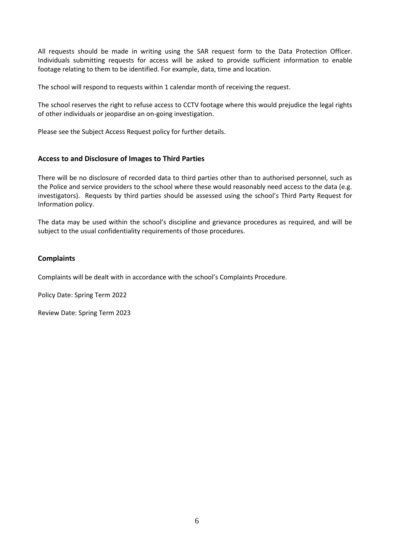All requests should be made in writing using the SAR request form to the Data Protection Officer. Individuals submitting requests for access will be asked to provide sufficient information to enable footage relating to them to be identified. For example, data, time and location.

The school will respond to requests within 1 calendar month of receiving the request.

The school reserves the right to refuse access to CCTV footage where this would prejudice the legal rights of other individuals or jeopardise an on-going investigation.

Please see the Subject Access Request policy for further details.

#### **Access to and Disclosure of Images to Third Parties**

There will be no disclosure of recorded data to third parties other than to authorised personnel, such as the Police and service providers to the school where these would reasonably need access to the data (e.g. investigators). Requests by third parties should be assessed using the school's Third Party Request for Information policy.

The data may be used within the school's discipline and grievance procedures as required, and will be subject to the usual confidentiality requirements of those procedures.

#### **Complaints**

Complaints will be dealt with in accordance with the school's Complaints Procedure.

Policy Date: Spring Term 2022

Review Date: Spring Term 2023